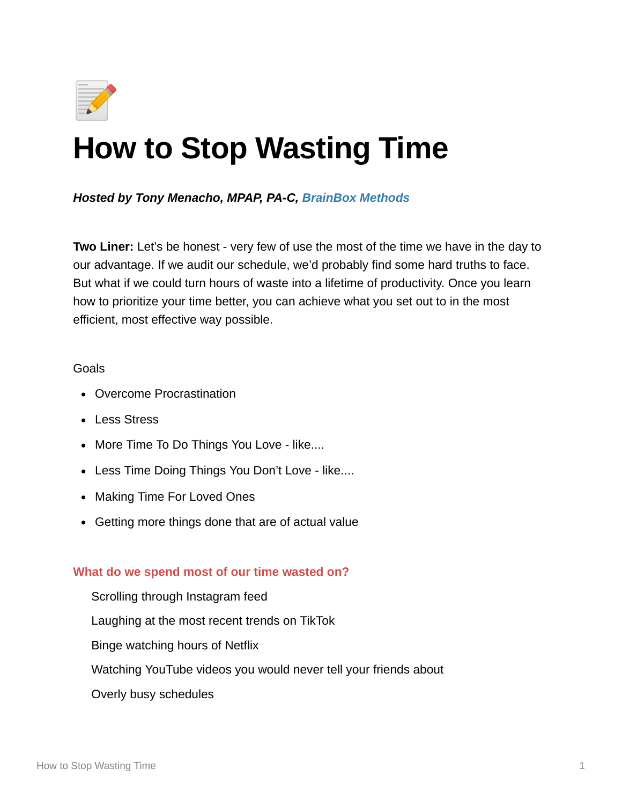

# **How to Stop Wasting Time**

*Hosted by Tony Menacho, MPAP, PA-C, BrainBox Methods*

**Two Liner:** Let's be honest - very few of use the most of the time we have in the day to our advantage. If we audit our schedule, we'd probably find some hard truths to face. But what if we could turn hours of waste into a lifetime of productivity. Once you learn how to prioritize your time better, you can achieve what you set out to in the most efficient, most effective way possible.

#### Goals

- Overcome Procrastination
- Less Stress
- More Time To Do Things You Love like....
- Less Time Doing Things You Don't Love like....
- Making Time For Loved Ones
- Getting more things done that are of actual value

#### **What do we spend most of our time wasted on?**

Scrolling through Instagram feed Laughing at the most recent trends on TikTok Binge watching hours of Netflix Watching YouTube videos you would never tell your friends about Overly busy schedules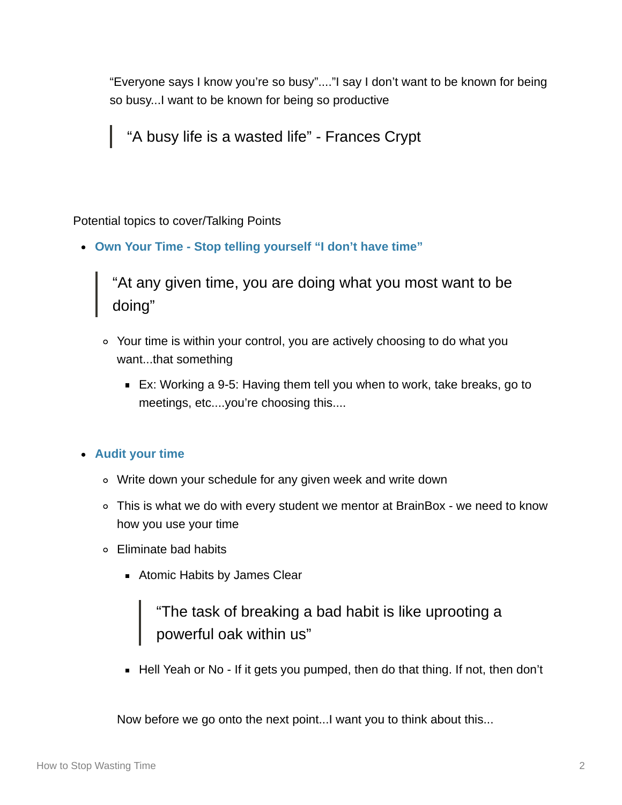"Everyone says I know you're so busy"...."I say I don't want to be known for being so busy...I want to be known for being so productive

"A busy life is a wasted life" - Frances Crypt

## Potential topics to cover/Talking Points

**Own Your Time - Stop telling yourself "I don't have time"**

"At any given time, you are doing what you most want to be doing"

- Your time is within your control, you are actively choosing to do what you want...that something
	- Ex: Working a 9-5: Having them tell you when to work, take breaks, go to meetings, etc....you're choosing this....

### **Audit your time**

- Write down your schedule for any given week and write down
- This is what we do with every student we mentor at BrainBox we need to know how you use your time
- Eliminate bad habits
	- **Atomic Habits by James Clear**

"The task of breaking a bad habit is like uprooting a powerful oak within us"

■ Hell Yeah or No - If it gets you pumped, then do that thing. If not, then don't

Now before we go onto the next point...I want you to think about this...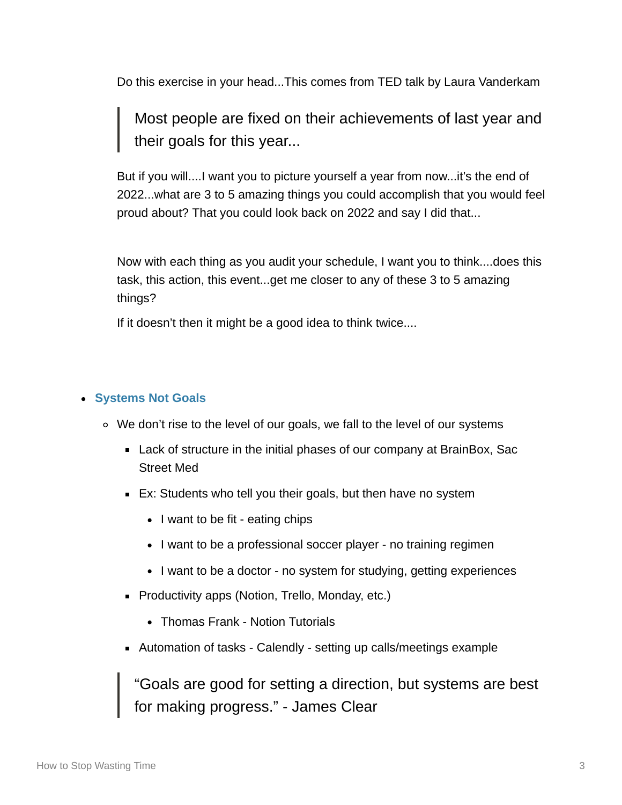Do this exercise in your head...This comes from TED talk by Laura Vanderkam

Most people are fixed on their achievements of last year and their goals for this year...

But if you will....I want you to picture yourself a year from now...it's the end of 2022...what are 3 to 5 amazing things you could accomplish that you would feel proud about? That you could look back on 2022 and say I did that...

Now with each thing as you audit your schedule, I want you to think....does this task, this action, this event...get me closer to any of these 3 to 5 amazing things?

If it doesn't then it might be a good idea to think twice....

#### **Systems Not Goals**

- We don't rise to the level of our goals, we fall to the level of our systems
	- Lack of structure in the initial phases of our company at BrainBox, Sac Street Med
	- Ex: Students who tell you their goals, but then have no system
		- I want to be fit eating chips
		- I want to be a professional soccer player no training regimen
		- I want to be a doctor no system for studying, getting experiences
	- **Productivity apps (Notion, Trello, Monday, etc.)** 
		- Thomas Frank Notion Tutorials
	- Automation of tasks Calendly setting up calls/meetings example

"Goals are good for setting a direction, but systems are best for making progress." - James Clear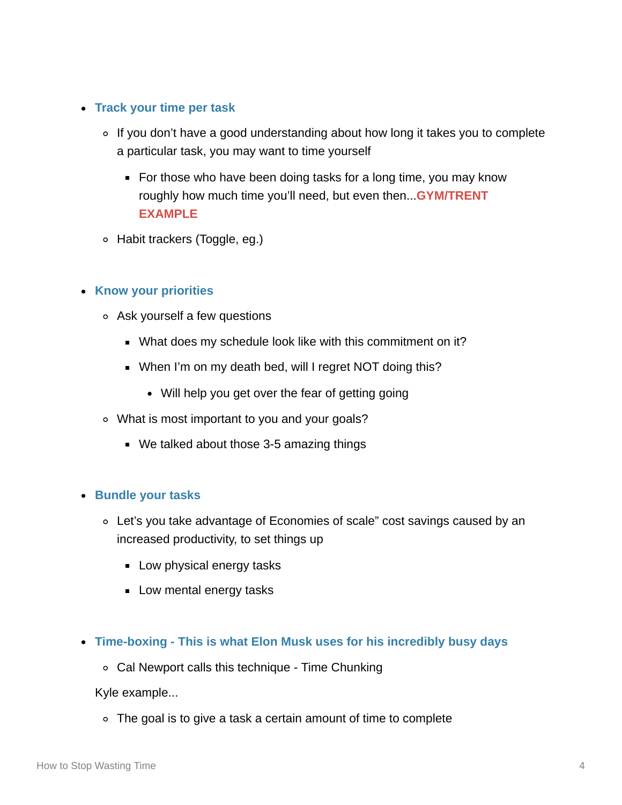#### **Track your time per task**

- ∘ If you don't have a good understanding about how long it takes you to complete a particular task, you may want to time yourself
	- For those who have been doing tasks for a long time, you may know roughly how much time you'll need, but even then...**GYM/TRENT EXAMPLE**
- Habit trackers (Toggle, eg.)

#### **Know your priorities**

- Ask yourself a few questions
	- What does my schedule look like with this commitment on it?
	- When I'm on my death bed, will I regret NOT doing this?
		- Will help you get over the fear of getting going
- What is most important to you and your goals?
	- We talked about those 3-5 amazing things

#### **• Bundle your tasks**

- Let's you take advantage of Economies of scale" cost savings caused by an increased productivity, to set things up
	- **Low physical energy tasks**
	- Low mental energy tasks
- **Time-boxing This is what Elon Musk uses for his incredibly busy days**
	- Cal Newport calls this technique Time Chunking

Kyle example...

The goal is to give a task a certain amount of time to complete